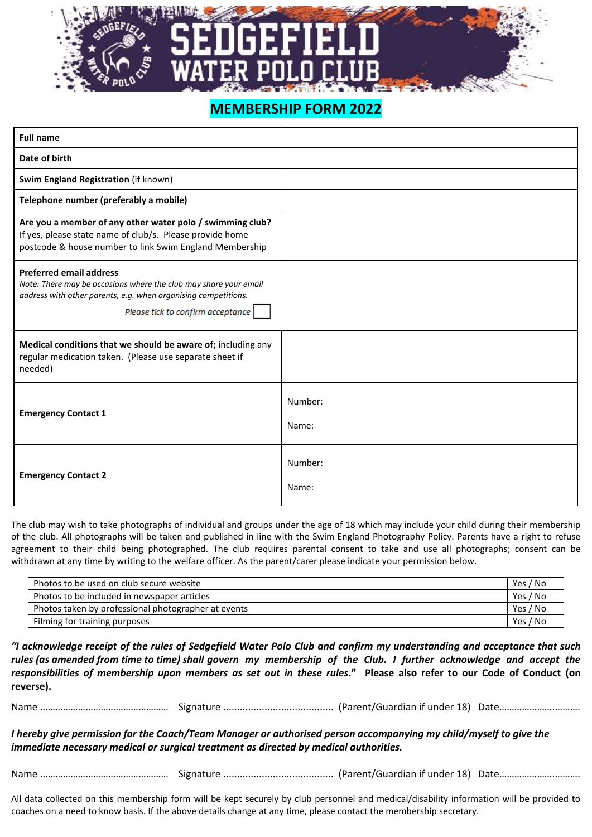## **MEMBERSHIP FORM 2022**

| <b>Full name</b>                                                                                                                                                                                          |                  |
|-----------------------------------------------------------------------------------------------------------------------------------------------------------------------------------------------------------|------------------|
| Date of birth                                                                                                                                                                                             |                  |
| Swim England Registration (if known)                                                                                                                                                                      |                  |
| Telephone number (preferably a mobile)                                                                                                                                                                    |                  |
| Are you a member of any other water polo / swimming club?<br>If yes, please state name of club/s. Please provide home<br>postcode & house number to link Swim England Membership                          |                  |
| <b>Preferred email address</b><br>Note: There may be occasions where the club may share your email<br>address with other parents, e.g. when organising competitions.<br>Please tick to confirm acceptance |                  |
| Medical conditions that we should be aware of; including any<br>regular medication taken. (Please use separate sheet if<br>needed)                                                                        |                  |
| <b>Emergency Contact 1</b>                                                                                                                                                                                | Number:<br>Name: |
| <b>Emergency Contact 2</b>                                                                                                                                                                                | Number:<br>Name: |

The club may wish to take photographs of individual and groups under the age of 18 which may include your child during their membership of the club. All photographs will be taken and published in line with the Swim England Photography Policy. Parents have a right to refuse agreement to their child being photographed. The club requires parental consent to take and use all photographs; consent can be withdrawn at any time by writing to the welfare officer. As the parent/carer please indicate your permission below.

| Photos to be used on club secure website            | Yes / No |
|-----------------------------------------------------|----------|
| Photos to be included in newspaper articles         | Yes / No |
| Photos taken by professional photographer at events | Yes / No |
| Filming for training purposes                       | Yes / No |

*"I acknowledge receipt of the rules of Sedgefield Water Polo Club and confirm my understanding and acceptance that such rules (as amended from time to time) shall govern my membership of the Club. I further acknowledge and accept the responsibilities of membership upon members as set out in these rules***." Please also refer to our Code of Conduct (on reverse).**

Name …………………………………………… Signature ........................................ (Parent/Guardian if under 18) Date………………….……….

*I hereby give permission for the Coach/Team Manager or authorised person accompanying my child/myself to give the immediate necessary medical or surgical treatment as directed by medical authorities.*

Name …………………………………………… Signature ........................................ (Parent/Guardian if under 18) Date………………….……….

All data collected on this membership form will be kept securely by club personnel and medical/disability information will be provided to coaches on a need to know basis. If the above details change at any time, please contact the membership secretary.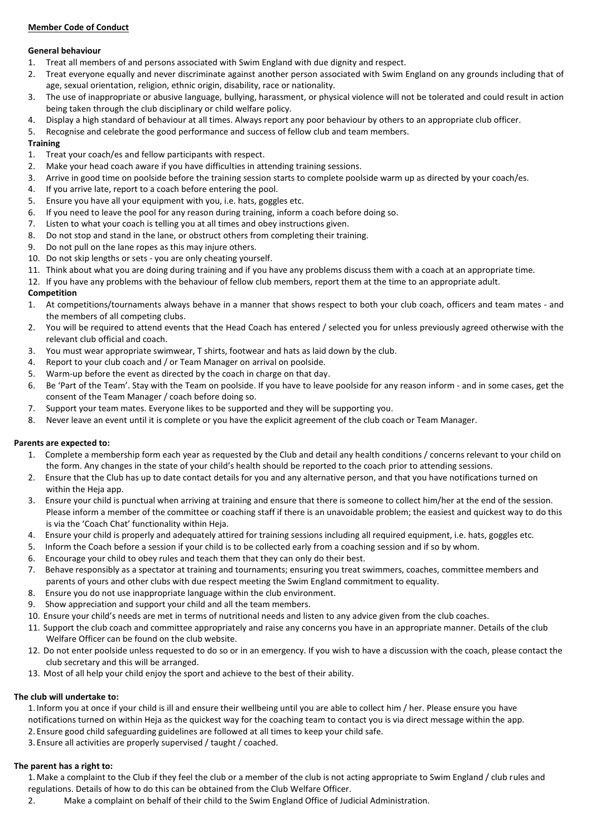### **Member Code of Conduct**

### **General behaviour**

- 1. Treat all members of and persons associated with Swim England with due dignity and respect.
- 2. Treat everyone equally and never discriminate against another person associated with Swim England on any grounds including that of age, sexual orientation, religion, ethnic origin, disability, race or nationality.
- 3. The use of inappropriate or abusive language, bullying, harassment, or physical violence will not be tolerated and could result in action being taken through the club disciplinary or child welfare policy.
- 4. Display a high standard of behaviour at all times. Always report any poor behaviour by others to an appropriate club officer.
- 5. Recognise and celebrate the good performance and success of fellow club and team members.

### **Training**

- 1. Treat your coach/es and fellow participants with respect.
- 2. Make your head coach aware if you have difficulties in attending training sessions.
- 3. Arrive in good time on poolside before the training session starts to complete poolside warm up as directed by your coach/es.
- 4. If you arrive late, report to a coach before entering the pool.
- 5. Ensure you have all your equipment with you, i.e. hats, goggles etc.
- 6. If you need to leave the pool for any reason during training, inform a coach before doing so.
- 7. Listen to what your coach is telling you at all times and obey instructions given.
- 8. Do not stop and stand in the lane, or obstruct others from completing their training.
- 9. Do not pull on the lane ropes as this may injure others.
- 10. Do not skip lengths or sets you are only cheating yourself.
- 11. Think about what you are doing during training and if you have any problems discuss them with a coach at an appropriate time.
- 12. If you have any problems with the behaviour of fellow club members, report them at the time to an appropriate adult.

### **Competition**

- 1. At competitions/tournaments always behave in a manner that shows respect to both your club coach, officers and team mates and the members of all competing clubs.
- 2. You will be required to attend events that the Head Coach has entered / selected you for unless previously agreed otherwise with the relevant club official and coach.
- 3. You must wear appropriate swimwear, T shirts, footwear and hats as laid down by the club.
- 4. Report to your club coach and / or Team Manager on arrival on poolside.
- 5. Warm-up before the event as directed by the coach in charge on that day.
- 6. Be 'Part of the Team'. Stay with the Team on poolside. If you have to leave poolside for any reason inform and in some cases, get the consent of the Team Manager / coach before doing so.
- 7. Support your team mates. Everyone likes to be supported and they will be supporting you.
- 8. Never leave an event until it is complete or you have the explicit agreement of the club coach or Team Manager.

### **Parents are expected to:**

- 1. Complete a membership form each year as requested by the Club and detail any health conditions / concerns relevant to your child on the form. Any changes in the state of your child's health should be reported to the coach prior to attending sessions.
- 2. Ensure that the Club has up to date contact details for you and any alternative person, and that you have notifications turned on within the Heja app.
- 3. Ensure your child is punctual when arriving at training and ensure that there is someone to collect him/her at the end of the session. Please inform a member of the committee or coaching staff if there is an unavoidable problem; the easiest and quickest way to do this is via the 'Coach Chat' functionality within Heja.
- 4. Ensure your child is properly and adequately attired for training sessions including all required equipment, i.e. hats, goggles etc.
- 5. Inform the Coach before a session if your child is to be collected early from a coaching session and if so by whom.
- 6. Encourage your child to obey rules and teach them that they can only do their best.
- 7. Behave responsibly as a spectator at training and tournaments; ensuring you treat swimmers, coaches, committee members and parents of yours and other clubs with due respect meeting the Swim England commitment to equality.
- 8. Ensure you do not use inappropriate language within the club environment.
- 9. Show appreciation and support your child and all the team members.
- 10. Ensure your child's needs are met in terms of nutritional needs and listen to any advice given from the club coaches.
- 11. Support the club coach and committee appropriately and raise any concerns you have in an appropriate manner. Details of the club Welfare Officer can be found on the club website.
- 12. Do not enter poolside unless requested to do so or in an emergency. If you wish to have a discussion with the coach, please contact the club secretary and this will be arranged.
- 13. Most of all help your child enjoy the sport and achieve to the best of their ability.

### **The club will undertake to:**

- 1. Inform you at once if your child is ill and ensure their wellbeing until you are able to collect him / her. Please ensure you have notifications turned on within Heja as the quickest way for the coaching team to contact you is via direct message within the app. 2. Ensure good child safeguarding guidelines are followed at all times to keep your child safe.
- 3. Ensure all activities are properly supervised / taught / coached.

#### **The parent has a right to:**

- 1.Make a complaint to the Club if they feel the club or a member of the club is not acting appropriate to Swim England / club rules and regulations. Details of how to do this can be obtained from the Club Welfare Officer.
- 2. Make a complaint on behalf of their child to the Swim England Office of Judicial Administration.